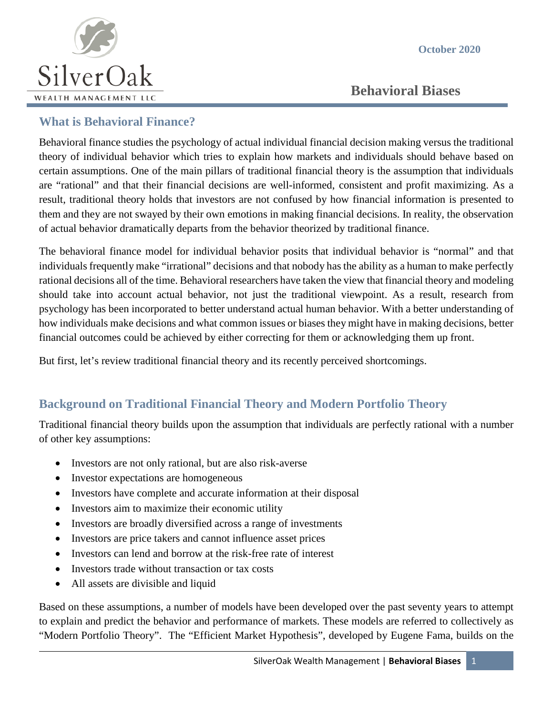**October 2020**



 **Behavioral Biases**

## **What is Behavioral Finance?**

Behavioral finance studies the psychology of actual individual financial decision making versus the traditional theory of individual behavior which tries to explain how markets and individuals should behave based on certain assumptions. One of the main pillars of traditional financial theory is the assumption that individuals are "rational" and that their financial decisions are well-informed, consistent and profit maximizing. As a result, traditional theory holds that investors are not confused by how financial information is presented to them and they are not swayed by their own emotions in making financial decisions. In reality, the observation of actual behavior dramatically departs from the behavior theorized by traditional finance.

The behavioral finance model for individual behavior posits that individual behavior is "normal" and that individuals frequently make "irrational" decisions and that nobody has the ability as a human to make perfectly rational decisions all of the time. Behavioral researchers have taken the view that financial theory and modeling should take into account actual behavior, not just the traditional viewpoint. As a result, research from psychology has been incorporated to better understand actual human behavior. With a better understanding of how individuals make decisions and what common issues or biases they might have in making decisions, better financial outcomes could be achieved by either correcting for them or acknowledging them up front.

But first, let's review traditional financial theory and its recently perceived shortcomings.

# **Background on Traditional Financial Theory and Modern Portfolio Theory**

Traditional financial theory builds upon the assumption that individuals are perfectly rational with a number of other key assumptions:

- Investors are not only rational, but are also risk-averse
- Investor expectations are homogeneous
- Investors have complete and accurate information at their disposal
- Investors aim to maximize their economic utility
- Investors are broadly diversified across a range of investments
- Investors are price takers and cannot influence asset prices
- Investors can lend and borrow at the risk-free rate of interest
- Investors trade without transaction or tax costs
- All assets are divisible and liquid

Based on these assumptions, a number of models have been developed over the past seventy years to attempt to explain and predict the behavior and performance of markets. These models are referred to collectively as "Modern Portfolio Theory". The "Efficient Market Hypothesis", developed by Eugene Fama, builds on the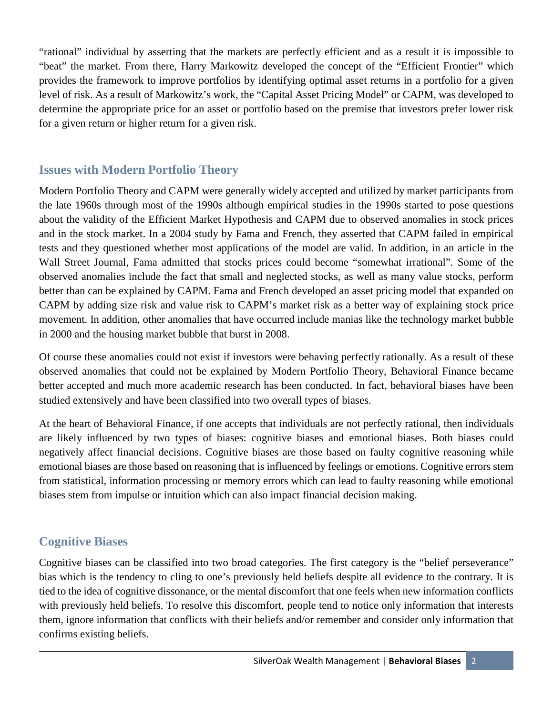"rational" individual by asserting that the markets are perfectly efficient and as a result it is impossible to "beat" the market. From there, Harry Markowitz developed the concept of the "Efficient Frontier" which provides the framework to improve portfolios by identifying optimal asset returns in a portfolio for a given level of risk. As a result of Markowitz's work, the "Capital Asset Pricing Model" or CAPM, was developed to determine the appropriate price for an asset or portfolio based on the premise that investors prefer lower risk for a given return or higher return for a given risk.

## **Issues with Modern Portfolio Theory**

Modern Portfolio Theory and CAPM were generally widely accepted and utilized by market participants from the late 1960s through most of the 1990s although empirical studies in the 1990s started to pose questions about the validity of the Efficient Market Hypothesis and CAPM due to observed anomalies in stock prices and in the stock market. In a 2004 study by Fama and French, they asserted that CAPM failed in empirical tests and they questioned whether most applications of the model are valid. In addition, in an article in the Wall Street Journal, Fama admitted that stocks prices could become "somewhat irrational". Some of the observed anomalies include the fact that small and neglected stocks, as well as many value stocks, perform better than can be explained by CAPM. Fama and French developed an asset pricing model that expanded on CAPM by adding size risk and value risk to CAPM's market risk as a better way of explaining stock price movement. In addition, other anomalies that have occurred include manias like the technology market bubble in 2000 and the housing market bubble that burst in 2008.

Of course these anomalies could not exist if investors were behaving perfectly rationally. As a result of these observed anomalies that could not be explained by Modern Portfolio Theory, Behavioral Finance became better accepted and much more academic research has been conducted. In fact, behavioral biases have been studied extensively and have been classified into two overall types of biases.

At the heart of Behavioral Finance, if one accepts that individuals are not perfectly rational, then individuals are likely influenced by two types of biases: cognitive biases and emotional biases. Both biases could negatively affect financial decisions. Cognitive biases are those based on faulty cognitive reasoning while emotional biases are those based on reasoning that is influenced by feelings or emotions. Cognitive errors stem from statistical, information processing or memory errors which can lead to faulty reasoning while emotional biases stem from impulse or intuition which can also impact financial decision making.

## **Cognitive Biases**

Cognitive biases can be classified into two broad categories. The first category is the "belief perseverance" bias which is the tendency to cling to one's previously held beliefs despite all evidence to the contrary. It is tied to the idea of cognitive dissonance, or the mental discomfort that one feels when new information conflicts with previously held beliefs. To resolve this discomfort, people tend to notice only information that interests them, ignore information that conflicts with their beliefs and/or remember and consider only information that confirms existing beliefs.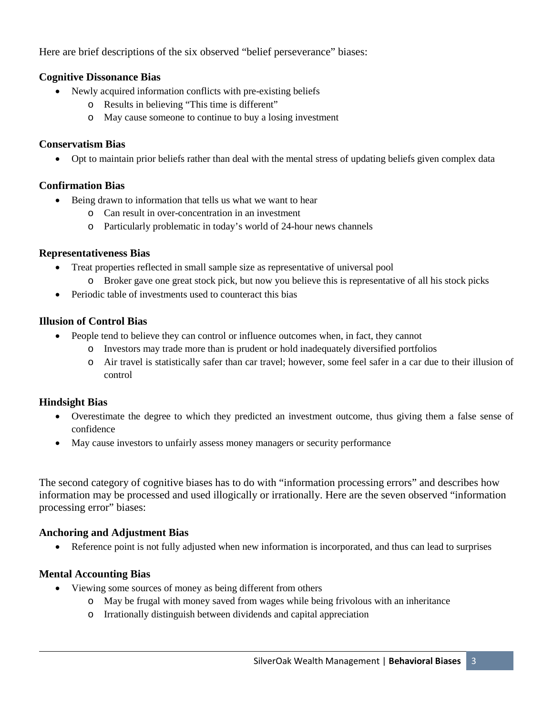Here are brief descriptions of the six observed "belief perseverance" biases:

### **Cognitive Dissonance Bias**

- Newly acquired information conflicts with pre-existing beliefs
	- o Results in believing "This time is different"
	- o May cause someone to continue to buy a losing investment

#### **Conservatism Bias**

• Opt to maintain prior beliefs rather than deal with the mental stress of updating beliefs given complex data

#### **Confirmation Bias**

- Being drawn to information that tells us what we want to hear
	- o Can result in over-concentration in an investment
	- o Particularly problematic in today's world of 24-hour news channels

#### **Representativeness Bias**

- Treat properties reflected in small sample size as representative of universal pool
	- o Broker gave one great stock pick, but now you believe this is representative of all his stock picks
- Periodic table of investments used to counteract this bias

#### **Illusion of Control Bias**

- People tend to believe they can control or influence outcomes when, in fact, they cannot
	- o Investors may trade more than is prudent or hold inadequately diversified portfolios
	- o Air travel is statistically safer than car travel; however, some feel safer in a car due to their illusion of control

#### **Hindsight Bias**

- Overestimate the degree to which they predicted an investment outcome, thus giving them a false sense of confidence
- May cause investors to unfairly assess money managers or security performance

The second category of cognitive biases has to do with "information processing errors" and describes how information may be processed and used illogically or irrationally. Here are the seven observed "information processing error" biases:

#### **Anchoring and Adjustment Bias**

• Reference point is not fully adjusted when new information is incorporated, and thus can lead to surprises

#### **Mental Accounting Bias**

- Viewing some sources of money as being different from others
	- o May be frugal with money saved from wages while being frivolous with an inheritance
	- o Irrationally distinguish between dividends and capital appreciation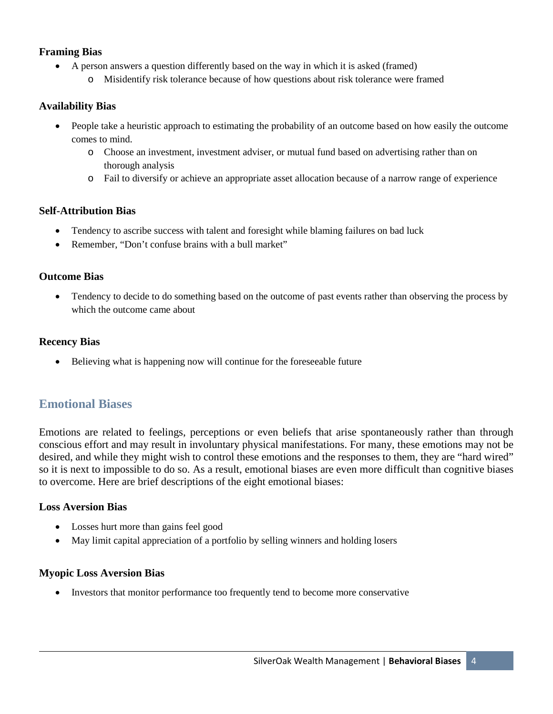### **Framing Bias**

- A person answers a question differently based on the way in which it is asked (framed)
	- o Misidentify risk tolerance because of how questions about risk tolerance were framed

#### **Availability Bias**

- People take a heuristic approach to estimating the probability of an outcome based on how easily the outcome comes to mind.
	- o Choose an investment, investment adviser, or mutual fund based on advertising rather than on thorough analysis
	- o Fail to diversify or achieve an appropriate asset allocation because of a narrow range of experience

#### **Self-Attribution Bias**

- Tendency to ascribe success with talent and foresight while blaming failures on bad luck
- Remember, "Don't confuse brains with a bull market"

#### **Outcome Bias**

• Tendency to decide to do something based on the outcome of past events rather than observing the process by which the outcome came about

#### **Recency Bias**

• Believing what is happening now will continue for the foreseeable future

## **Emotional Biases**

Emotions are related to feelings, perceptions or even beliefs that arise spontaneously rather than through conscious effort and may result in involuntary physical manifestations. For many, these emotions may not be desired, and while they might wish to control these emotions and the responses to them, they are "hard wired" so it is next to impossible to do so. As a result, emotional biases are even more difficult than cognitive biases to overcome. Here are brief descriptions of the eight emotional biases:

#### **Loss Aversion Bias**

- Losses hurt more than gains feel good
- May limit capital appreciation of a portfolio by selling winners and holding losers

#### **Myopic Loss Aversion Bias**

• Investors that monitor performance too frequently tend to become more conservative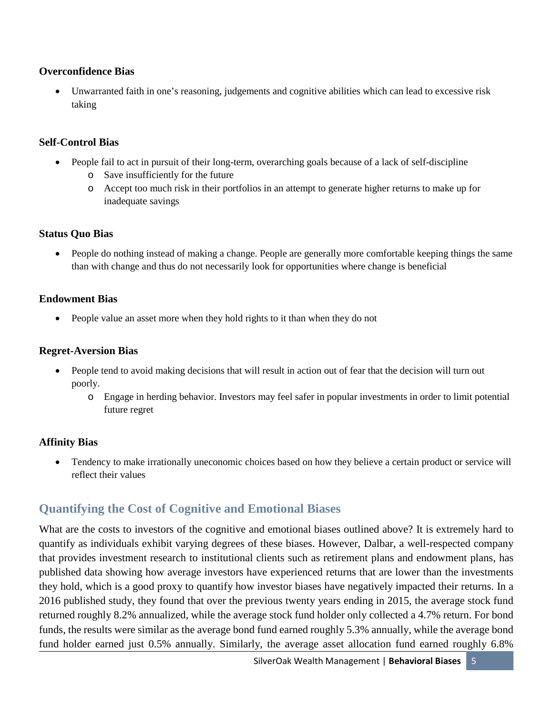#### **Overconfidence Bias**

• Unwarranted faith in one's reasoning, judgements and cognitive abilities which can lead to excessive risk taking

## **Self-Control Bias**

- People fail to act in pursuit of their long-term, overarching goals because of a lack of self-discipline
	- o Save insufficiently for the future
	- o Accept too much risk in their portfolios in an attempt to generate higher returns to make up for inadequate savings

### **Status Quo Bias**

• People do nothing instead of making a change. People are generally more comfortable keeping things the same than with change and thus do not necessarily look for opportunities where change is beneficial

### **Endowment Bias**

• People value an asset more when they hold rights to it than when they do not

### **Regret-Aversion Bias**

- People tend to avoid making decisions that will result in action out of fear that the decision will turn out poorly.
	- o Engage in herding behavior. Investors may feel safer in popular investments in order to limit potential future regret

## **Affinity Bias**

• Tendency to make irrationally uneconomic choices based on how they believe a certain product or service will reflect their values

## **Quantifying the Cost of Cognitive and Emotional Biases**

What are the costs to investors of the cognitive and emotional biases outlined above? It is extremely hard to quantify as individuals exhibit varying degrees of these biases. However, Dalbar, a well-respected company that provides investment research to institutional clients such as retirement plans and endowment plans, has published data showing how average investors have experienced returns that are lower than the investments they hold, which is a good proxy to quantify how investor biases have negatively impacted their returns. In a 2016 published study, they found that over the previous twenty years ending in 2015, the average stock fund returned roughly 8.2% annualized, while the average stock fund holder only collected a 4.7% return. For bond funds, the results were similar as the average bond fund earned roughly 5.3% annually, while the average bond fund holder earned just 0.5% annually. Similarly, the average asset allocation fund earned roughly 6.8%